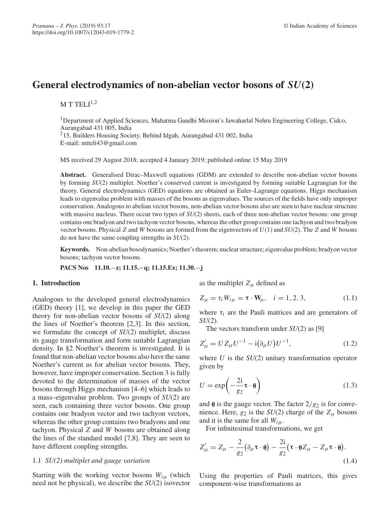# **General electrodynamics of non-abelian vector bosons of** *SU***(2)**

M T TELI $1,2$ 

<sup>1</sup>Department of Applied Sciences, Mahatma Gandhi Mission's Jawaharlal Nehru Engineering College, Cidco, Aurangabad 431 005, India 215, Builders Housing Society, Behind Idgah, Aurangabad 431 002, India E-mail: mtteli43@gmail.com

MS received 29 August 2018; accepted 4 January 2019; published online 15 May 2019

**Abstract.** Generalised Dirac–Maxwell equations (GDM) are extended to describe non-abelian vector bosons by forming *SU*(2) multiplet. Noether's conserved current is investigated by forming suitable Lagrangian for the theory. General electrodynamics (GED) equations are obtained as Euler–Lagrange equations. Higgs mechanism leads to eigenvalue problem with masses of the bosons as eigenvalues. The sources of the fields have only improper conservation. Analogous to abelian vector bosons, non-abelian vector bosons also are seen to have nuclear structure with massive nucleus. There occur two types of  $SU(2)$  sheets, each of three non-abelian vector bosons: one group contains one bradyon and two tachyon vector bosons, whereas the other group contains one tachyon and two bradyon vector bosons. Physical *Z* and *W* bosons are formed from the eigenvectors of *U*(1) and *SU*(2). The *Z* and *W* bosons do not have the same coupling strengths in *SU*(2).

**Keywords.** Non-abelian bosodynamics; Noether's theorem; nuclear structure; eigenvalue problem; bradyon vector bosons; tachyon vector bosons.

**PACS Nos 11.10.**−**z; 11.15.**−**q; 11.15.Ex; 11.30.**−**j**

### **1. Introduction**

Analogous to the developed general electrodynamics (GED) theory [1], we develop in this paper the GED theory for non-abelian vector bosons of *SU*(2) along the lines of Noether's theorem [2,3]. In this section, we formulate the concept of *SU*(2) multiplet, discuss its gauge transformation and form suitable Lagrangian density. In §2 Noether's theorem is investigated. It is found that non-abelian vector bosons also have the same Noether's current as for abelian vector bosons. They, however, have improper conservation. Section 3 is fully devoted to the determination of masses of the vector bosons through Higgs mechanism [4–6] which leads to a mass–eigenvalue problem. Two groups of *SU*(2) are seen, each containing three vector bosons. One group contains one bradyon vector and two tachyon vectors, whereas the other group contains two bradyons and one tachyon. Physical *Z* and *W* bosons are obtained along the lines of the standard model [7,8]. They are seen to have different coupling strengths.

### 1.1 *SU(2) multiplet and gauge variation*

Starting with the working vector bosons  $W_{i\mu}$  (which need not be physical), we describe the *SU*(2) isovector as the multiplet  $Z_\mu$  defined as

$$
Z_{\mu} = \tau_i W_{i\mu} = \tau \cdot W_{\mu}, \quad i = 1, 2, 3,
$$
 (1.1)

where  $\tau_i$  are the Pauli matrices and are generators of *SU*(2).

The vectors transform under *SU*(2) as [9]

$$
Z'_{\mu} = U Z_{\mu} U^{-1} - i(\partial_{\mu} U) U^{-1}, \qquad (1.2)
$$

where *U* is the *SU*(2) unitary transformation operator given by

$$
U = \exp\left(-\frac{2i}{g_2}\tau \cdot \theta\right) \tag{1.3}
$$

and  $\theta$  is the gauge vector. The factor  $2/g_2$  is for convenience. Here,  $g_2$  is the  $SU(2)$  charge of the  $Z_\mu$  bosons and it is the same for all  $W_{i\mu}$ .

For infinitesimal transformations, we get

$$
Z'_{\mu} = Z_{\mu} - \frac{2}{g_2} (\partial_{\mu} \tau \cdot \theta) - \frac{2i}{g_2} (\tau \cdot \theta Z_{\mu} - Z_{\mu} \tau \cdot \theta).
$$
\n(1.4)

Using the properties of Pauli matrices, this gives component-wise transformations as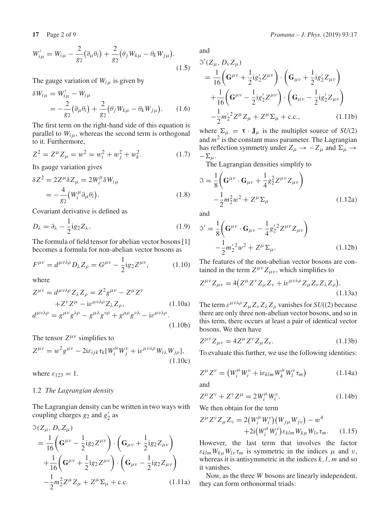The gauge variation of  $W_{i\mu}$  is given by

$$
\delta W_{i\mu} = W'_{i\mu} - W_{i\mu}
$$
  
=  $-\frac{2}{g_2} (\partial_\mu \theta_i) + \frac{2}{g_2} (\theta_j W_{k\mu} - \theta_k W_{j\mu}).$  (1.6)

The first term on the right-hand side of this equation is parallel to  $W_{i\mu}$ , whereas the second term is orthogonal to it. Furthermore,

$$
Z^{2} = Z^{\mu} Z_{\mu} = w^{2} = w_{i}^{2} + w_{j}^{2} + w_{k}^{2}.
$$
 (1.7)

Its gauge variation gives

$$
\delta Z^2 = 2Z^{\mu} \delta Z_{\mu} = 2W_i^{\mu} \delta W_{i\mu}
$$
  
=  $-\frac{4}{g_2} (W_i^{\mu} \partial_{\mu} \theta_i).$  (1.8)

Covariant derivative is defined as

$$
D_{\lambda} = \partial_{\lambda} - \frac{1}{2} i g_2 Z_{\lambda}.
$$
 (1.9)

The formula of field tensor for abelian vector bosons [1] becomes a formula for non-abelian vector bosons as

$$
F^{\mu\nu} = d^{\mu\nu\lambda\rho} D_\lambda Z_\rho = G^{\mu\nu} - \frac{1}{2} i g_2 Z^{\mu\nu},\qquad (1.10)
$$

where

$$
Z^{\mu\nu} = d^{\mu\nu\lambda\rho} Z_{\lambda} Z_{\rho} = Z^2 g^{\mu\nu} - Z^{\mu} Z^{\nu}
$$
  
+Z^{\nu} Z^{\mu} - i \varepsilon^{\mu\nu\lambda\rho} Z\_{\lambda} Z\_{\rho}, (1.10a)  

$$
d^{\mu\nu\lambda\rho} = g^{\mu\nu} g^{\lambda\rho} - g^{\mu\lambda} g^{\nu\rho} + g^{\mu\rho} g^{\nu\lambda} - i \varepsilon^{\mu\nu\lambda\rho}.
$$
  
(1.10b)

The tensor  $Z^{\mu\nu}$  simplifies to

$$
Z^{\mu\nu} = w^2 g^{\mu\nu} - 2i\varepsilon_{ijk} \tau_k [W_i^{\mu} W_j^{\nu} + i\varepsilon^{\mu\nu\lambda\rho} W_{i\lambda} W_{j\rho}],
$$
\n(1.10c)

where  $\varepsilon_{123} = 1$ .

### 1.2 *The Lagrangian density*

The Lagrangian density can be written in two ways with coupling charges  $g_2$  and  $g'_2$  as

$$
\mathfrak{I}(Z_{\mu}, D_{\nu} Z_{\mu})
$$
\n
$$
= \frac{1}{16} \left( \mathbf{G}^{\mu \nu} - \frac{1}{2} i g_2 Z^{\mu \nu} \right) \cdot \left( \mathbf{G}_{\mu \nu} + \frac{1}{2} i g_2 Z_{\mu \nu} \right)
$$
\n
$$
+ \frac{1}{16} \left( \mathbf{G}^{\mu \nu} + \frac{1}{2} i g_2 Z^{\mu \nu} \right) \cdot \left( \mathbf{G}_{\mu \nu} - \frac{1}{2} i g_2 Z_{\mu \nu} \right)
$$
\n
$$
- \frac{1}{2} m_2^2 Z^{\mu} Z_{\mu} + Z^{\mu} \Sigma_{\mu} + \text{c.c.} \tag{1.11a}
$$

and

$$
\mathcal{S}'(Z_{\mu}, D_{\nu}Z_{\mu})
$$
\n
$$
= \frac{1}{16} \left( \mathbf{G}^{\mu\nu} + \frac{1}{2} i g'_{2} Z^{\mu\nu} \right) \cdot \left( \mathbf{G}_{\mu\nu} + \frac{1}{2} i g'_{2} Z_{\mu\nu} \right)
$$
\n
$$
+ \frac{1}{16} \left( \mathbf{G}^{\mu\nu} - \frac{1}{2} i g'_{2} Z^{\mu\nu} \right) \cdot \left( \mathbf{G}_{\mu\nu} - \frac{1}{2} i g'_{2} Z_{\mu\nu} \right)
$$
\n
$$
- \frac{1}{2} m'_{2}^2 Z^{\mu} Z_{\mu} + Z^{\mu} \Sigma_{\mu} + \text{c.c.}, \qquad (1.11b)
$$

where  $\Sigma_{\mu} = \tau \cdot J_{\mu}$  is the multiplet source of *SU*(2) and  $m<sup>2</sup>$  is the constant mass parameter. The Lagrangian has reflection symmetry under  $Z_{\mu} \rightarrow -Z_{\mu}$  and  $\Sigma_{\mu} \rightarrow$  $-\Sigma_\mu$ .

The Lagrangian densities simplify to

$$
\mathfrak{F} = \frac{1}{8} \left( \mathbf{G}^{\mu \nu} \cdot \mathbf{G}_{\mu \nu} + \frac{1}{4} g_2^2 Z^{\mu \nu} Z_{\mu \nu} \right) - \frac{1}{2} m_2^2 w^2 + Z^{\mu} \Sigma_{\mu}
$$
 (1.12a)

and

$$
\mathfrak{S}' = \frac{1}{8} \bigg( \mathbf{G}^{\mu \nu} \cdot \mathbf{G}_{\mu \nu} - \frac{1}{4} g_2^{\prime 2} Z^{\mu \nu} Z_{\mu \nu} \bigg) - \frac{1}{2} m_2^{\prime 2} w^2 + Z^{\mu} \Sigma_{\mu}.
$$
 (1.12b)

The features of the non-abelian vector bosons are contained in the term  $Z^{\mu\nu}Z_{\mu\nu}$ , which simplifies to

$$
Z^{\mu\nu}Z_{\mu\nu} = 4(Z^{\mu}Z^{\nu}Z_{\mu}Z_{\nu} + i\varepsilon^{\mu\nu\lambda\rho}Z_{\mu}Z_{\nu}Z_{\lambda}Z_{\rho}).
$$
\n(1.13a)

The term  $\varepsilon^{\mu\nu\lambda\rho} Z_{\mu} Z_{\nu} Z_{\lambda} Z_{\rho}$  vanishes for *SU*((2) because there are only three non-abelian vector bosons, and so in this term, there occurs at least a pair of identical vector bosons. We then have

$$
Z^{\mu\nu} Z_{\mu\nu} = 4Z^{\mu} Z^{\nu} Z_{\mu} Z_{\nu}.
$$
 (1.13b)

To evaluate this further, we use the following identities:

$$
Z^{\mu}Z^{\nu} = (W_i^{\mu}W_i^{\nu} + i\varepsilon_{klm}W_k^{\mu}W_l^{\nu}\tau_m)
$$
 (1.14a)

and

$$
Z^{\mu} Z^{\nu} + Z^{\nu} Z^{\mu} = 2W_i^{\mu} W_i^{\nu}.
$$
 (1.14b)

We then obtain for the term

$$
Z^{\mu} Z^{\nu} Z_{\mu} Z_{\nu} = 2(W_i^{\mu} W_i^{\nu})(W_{j\mu} W_{j\nu}) - w^4 + 2i(W_i^{\mu} W_i^{\nu}) \varepsilon_{klm} W_{k\mu} W_{l\nu} \tau_m.
$$
 (1.15)

However, the last term that involves the factor  $\varepsilon_{klm} W_{ku} W_{lv} \tau_m$  is symmetric in the indices  $\mu$  and  $\nu$ , whereas it is antisymmetric in the indices *k*,*l*, *m* and so it vanishes.

Now, as the three *W* bosons are linearly independent, they can form orthonormal triads: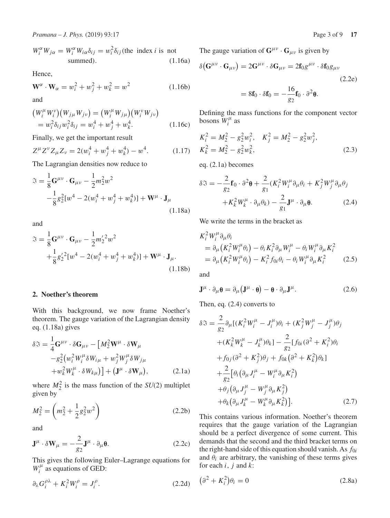$$
W_i^{\alpha} W_{j\alpha} = W_i^{\alpha} W_{i\alpha} \delta_{ij} = w_i^2 \delta_{ij}
$$
 (the index *i* is not  
summed). (1.16a)

Hence,

$$
\mathbf{W}^{\alpha} \cdot \mathbf{W}_{\alpha} = w_i^2 + w_j^2 + w_k^2 = w^2 \tag{1.16b}
$$

and

$$
(W_i^{\mu} W_i^{\nu})(W_{j\mu} W_{j\nu}) = (W_i^{\mu} W_{j\mu})(W_i^{\nu} W_{j\nu})
$$
  
=  $w_i^2 \delta_{ij} w_i^2 \delta_{ij} = w_i^4 + w_j^4 + w_k^4$ . (1.16c)

Finally, we get the important result

$$
Z^{\mu}Z^{\nu}Z_{\mu}Z_{\nu} = 2(w_i^4 + w_j^4 + w_k^4) - w^4.
$$
 (1.17)

The Lagrangian densities now reduce to

$$
\mathfrak{F} = \frac{1}{8} \mathbf{G}^{\mu \nu} \cdot \mathbf{G}_{\mu \nu} - \frac{1}{2} m_2^2 w^2
$$
  
 
$$
- \frac{1}{8} g_2^2 [w^4 - 2(w_i^4 + w_j^4 + w_k^4)] + \mathbf{W}^{\mu} \cdot \mathbf{J}_{\mu}
$$
 (1.18a)

and

$$
\mathfrak{F} = \frac{1}{8} \mathbf{G}^{\mu \nu} \cdot \mathbf{G}_{\mu \nu} - \frac{1}{2} m_2^{\prime 2} w^2 \n+ \frac{1}{8} g_2^{\prime 2} [w^4 - 2(w_i^4 + w_j^4 + w_k^4)] + \mathbf{W}^{\mu} \cdot \mathbf{J}_{\mu}.
$$
\n(1.18b)

# **2. Noether's theorem**

With this background, we now frame Noether's theorem. The gauge variation of the Lagrangian density eq. (1.18a) gives

$$
\delta \mathfrak{F} = \frac{1}{4} \mathbf{G}^{\mu \nu} \cdot \delta \mathbf{G}_{\mu \nu} - \left[ M_2^2 \mathbf{W}^{\mu} \cdot \delta \mathbf{W}_{\mu} \right.\n- g_2^2 \left( w_i^2 W_i^{\mu} \delta W_{i \mu} + w_j^2 W_j^{\mu} \delta W_{j \mu} \right.\n+ w_k^2 W_k^{\mu} \cdot \delta W_{k \mu} \right) + \left( \mathbf{J}^{\mu} \cdot \delta \mathbf{W}_{\mu} \right), \tag{2.1a}
$$

where  $M_2^2$  is the mass function of the *SU*(2) multiplet given by

$$
M_2^2 = \left(m_2^2 + \frac{1}{2}g_2^2w^2\right)
$$
 (2.2b)

and

$$
\mathbf{J}^{\mu} \cdot \delta \mathbf{W}_{\mu} = -\frac{2}{g_2} \mathbf{J}^{\mu} \cdot \partial_{\mu} \mathbf{\theta}.
$$
 (2.2c)

This gives the following Euler–Lagrange equations for  $W_i^{\mu}$  as equations of GED:

$$
\partial_{\lambda} G_i^{\rho \lambda} + K_i^2 W_i^{\rho} = J_i^{\rho}.
$$
 (2.2d)

The gauge variation of  $G^{\mu\nu} \cdot G_{\mu\nu}$  is given by

$$
\delta(\mathbf{G}^{\mu\nu} \cdot \mathbf{G}_{\mu\nu}) = 2\mathbf{G}^{\mu\nu} \cdot \delta \mathbf{G}_{\mu\nu} = 2\mathbf{f}_0 g^{\mu\nu} \cdot \delta \mathbf{f}_0 g_{\mu\nu}
$$
\n(2.2e)

$$
= 8\mathbf{f}_0 \cdot \delta \mathbf{f}_0 = -\frac{16}{g_2} \mathbf{f}_0 \cdot \partial^2 \mathbf{\theta}.
$$

Defining the mass functions for the component vector bosons  $W_i^{\mu}$  as

$$
K_i^2 = M_2^2 - g_2^2 w_i^2, \quad K_j^2 = M_2^2 - g_2^2 w_j^2, K_k^2 = M_2^2 - g_2^2 w_k^2,
$$
 (2.3)

eq. (2.1a) becomes

$$
\delta \mathfrak{F} = -\frac{2}{g_2} \mathbf{f}_0 \cdot \partial^2 \mathbf{\theta} + \frac{2}{g_1} (K_i^2 W_i^{\mu} \partial_{\mu} \theta_i + K_j^2 W_j^{\mu} \partial_{\mu} \theta_j + K_k^2 W_k^{\mu} \cdot \partial_{\mu} \theta_k) - \frac{2}{g_1} \mathbf{J}^{\mu} \cdot \partial_{\mu} \mathbf{\theta}.
$$
 (2.4)

We write the terms in the bracket as

$$
K_i^2 W_i^{\mu} \partial_{\mu} \theta_i
$$
  
=  $\partial_{\mu} (K_i^2 W_i^{\mu} \theta_i) - \theta_i K_i^2 \partial_{\mu} W_i^{\mu} - \theta_i W_i^{\mu} \partial_{\mu} K_i^2$   
=  $\partial_{\mu} (K_i^2 W_i^{\mu} \theta_i) - K_i^2 f_{0i} \theta_i - \theta_i W_i^{\mu} \partial_{\mu} K_i^2$  (2.5)

and

$$
\mathbf{J}^{\mu} \cdot \partial_{\mu} \mathbf{\theta} = \partial_{\mu} (\mathbf{J}^{\mu} \cdot \mathbf{\theta}) - \mathbf{\theta} \cdot \partial_{\mu} \mathbf{J}^{\mu}.
$$
 (2.6)

Then, eq. (2.4) converts to

$$
\delta \mathfrak{F} = \frac{2}{g_2} \partial_{\mu} [(K_i^2 W_i^{\mu} - J_i^{\mu}) \theta_i + (K_j^2 W_j^{\mu} - J_j^{\mu}) \theta_j \n+ (K_k^2 W_k^{\mu} - J_k^{\mu}) \theta_k] - \frac{2}{g_2} [f_{0i} (\partial^2 + K_i^2) \theta_i \n+ f_{0j} (\partial^2 + K_j^2) \theta_j + f_{0k} (\partial^2 + K_k^2) \theta_k] \n+ \frac{2}{g_2} [\theta_i (\partial_{\mu} J_i^{\mu} - W_i^{\mu} \partial_{\mu} K_i^2) \n+ \theta_j (\partial_{\mu} J_j^{\mu} - W_j^{\mu} \partial_{\mu} K_j^2) \n+ \theta_k (\partial_{\mu} J_k^{\mu} - W_k^{\mu} \partial_{\mu} K_k^2)].
$$
\n(2.7)

This contains various information. Noether's theorem requires that the gauge variation of the Lagrangian should be a perfect divergence of some current. This demands that the second and the third bracket terms on the right-hand side of this equation should vanish. As *f*0*<sup>i</sup>* and  $\theta_i$  are arbitrary, the vanishing of these terms gives for each *i*, *j* and *k*:

$$
\left(\partial^2 + K_i^2\right)\theta_i = 0\tag{2.8a}
$$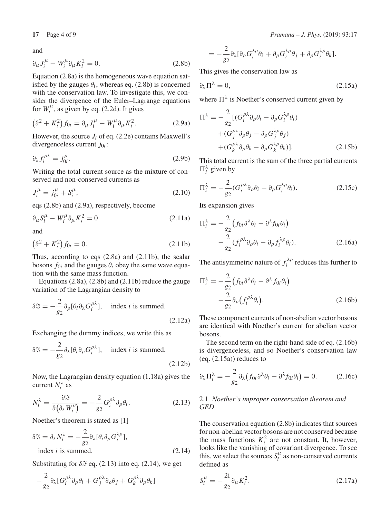and

$$
\partial_{\mu}J_{i}^{\mu} - W_{i}^{\mu}\partial_{\mu}K_{i}^{2} = 0. \qquad (2.8b)
$$

Equation (2.8a) is the homogeneous wave equation satisfied by the gauges  $\theta_i$ , whereas eq. (2.8b) is concerned with the conservation law. To investigate this, we consider the divergence of the Euler–Lagrange equations for  $W_i^{\mu}$ , as given by eq. (2.2d). It gives

$$
\left(\partial^2 + K_i^2\right) f_{0i} = \partial_\mu J_i^\mu - W_i^\mu \partial_\mu K_i^2. \tag{2.9a}
$$

However, the source  $J_i$  of eq. (2.2e) contains Maxwell's divergenceless current *j*0*<sup>i</sup>* :

$$
\partial_{\lambda} f_{i}^{\rho \lambda} = j_{0i}^{\rho}.
$$
 (2.9b)

Writing the total current source as the mixture of conserved and non-conserved currents as

$$
J_i^{\mu} = j_{0i}^{\mu} + S_i^{\mu}, \tag{2.10}
$$

eqs (2.8b) and (2.9a), respectively, become

$$
\partial_{\mu} S_{i}^{\mu} - W_{i}^{\mu} \partial_{\mu} K_{i}^{2} = 0 \qquad (2.11a)
$$

and

$$
\left(\partial^2 + K_i^2\right) f_{0i} = 0. \tag{2.11b}
$$

Thus, according to eqs (2.8a) and (2.11b), the scalar bosons  $f_{0i}$  and the gauges  $\theta_i$  obey the same wave equation with the same mass function.

Equations (2.8a), (2.8b) and (2.11b) reduce the gauge variation of the Lagrangian density to

$$
\delta \mathfrak{F} = -\frac{2}{g_2} \partial_{\rho} [\theta_i \partial_{\lambda} G_i^{\rho \lambda}], \quad \text{index } i \text{ is summed.}
$$
\n(2.12a)

Exchanging the dummy indices, we write this as

$$
\delta \mathfrak{F} = -\frac{2}{g_2} \partial_{\lambda} [\theta_i \partial_{\rho} G_i^{\rho \lambda}], \quad \text{index } i \text{ is summed.}
$$
\n(2.12b)

Now, the Lagrangian density equation (1.18a) gives the current  $N_i^{\lambda}$  as

$$
N_i^{\lambda} = \frac{\partial \mathfrak{I}}{\partial \left(\partial_{\lambda} W_i^{\rho}\right)} = -\frac{2}{g_2} G_i^{\rho \lambda} \partial_{\rho} \theta_i.
$$
 (2.13)

Noether's theorem is stated as [1]

$$
\delta \mathfrak{F} = \partial_{\lambda} N_{i}^{\lambda} = -\frac{2}{g_{2}} \partial_{\lambda} [\theta_{i} \partial_{\rho} G_{i}^{\lambda \rho}],
$$
  
index *i* is summed. (2.14)

Substituting for  $\delta \mathfrak{S}$  eq. (2.13) into eq. (2.14), we get

$$
-\frac{2}{g_2}\partial_{\lambda}[G_i^{\rho\lambda}\partial_{\rho}\theta_i+G_j^{\rho\lambda}\partial_{\rho}\theta_j+G_k^{\rho\lambda}\partial_{\rho}\theta_k]
$$

17 Page 4 of 9

\n
$$
Pramana - J. Phys. (2019) 93:17
$$

$$
= -\frac{2}{g_2} \partial_{\lambda} [\partial_{\rho} G_i^{\lambda \rho} \theta_i + \partial_{\rho} G_i^{\lambda \rho} \theta_j + \partial_{\rho} G_i^{\lambda \rho} \theta_k].
$$

This gives the conservation law as

$$
\partial_{\lambda} \Pi^{\lambda} = 0, \tag{2.15a}
$$

where  $\Pi^{\lambda}$  is Noether's conserved current given by

$$
\Pi^{\lambda} = -\frac{2}{g_2} [ (G_i^{\rho \lambda} \partial_{\rho} \theta_i - \partial_{\rho} G_i^{\lambda \rho} \theta_i )
$$
  
+ 
$$
(G_j^{\rho \lambda} \partial_{\rho} \theta_j - \partial_{\rho} G_j^{\lambda \rho} \theta_j )
$$
  
+ 
$$
(G_k^{\rho \lambda} \partial_{\rho} \theta_k - \partial_{\rho} G_k^{\lambda \rho} \theta_k )].
$$
 (2.15b)

This total current is the sum of the three partial currents  $\Pi_i^{\lambda}$  given by

$$
\Pi_i^{\lambda} = -\frac{2}{g_2} (G_i^{\rho \lambda} \partial_{\rho} \theta_i - \partial_{\rho} G_i^{\lambda \rho} \theta_i).
$$
 (2.15c)

Its expansion gives

$$
\Pi_i^{\lambda} = -\frac{2}{g_2} \left( f_{0i} \partial^{\lambda} \theta_i - \partial^{\lambda} f_{0i} \theta_i \right)
$$

$$
-\frac{2}{g_2} \left( f_i^{\rho \lambda} \partial_{\rho} \theta_i - \partial_{\rho} f_i^{\lambda \rho} \theta_i \right). \tag{2.16a}
$$

The antisymmetric nature of  $f_i^{\lambda \rho}$  reduces this further to

$$
\Pi_i^{\lambda} = -\frac{2}{g_2} \left( f_{0i} \partial^{\lambda} \theta_i - \partial^{\lambda} f_{0i} \theta_i \right) - \frac{2}{g_2} \partial_{\rho} \left( f_i^{\rho \lambda} \theta_i \right).
$$
\n(2.16b)

These component currents of non-abelian vector bosons are identical with Noether's current for abelian vector bosons.

The second term on the right-hand side of eq. (2.16b) is divergenceless, and so Noether's conservation law  $(eq. (2.15a))$  reduces to

$$
\partial_{\lambda} \Pi_{i}^{\lambda} = -\frac{2}{g_{2}} \partial_{\lambda} \left( f_{0i} \partial^{\lambda} \theta_{i} - \partial^{\lambda} f_{0i} \theta_{i} \right) = 0. \qquad (2.16c)
$$

# 2.1 *Noether's improper conservation theorem and GED*

The conservation equation (2.8b) indicates that sources for non-abelian vector bosons are not conserved because the mass functions  $K_i^2$  are not constant. It, however, looks like the vanishing of covariant divergence. To see this, we select the sources  $S_i^{\mu}$  as non-conserved currents defined as

$$
S_i^{\mu} = -\frac{2i}{g_2} \partial_{\mu} K_i^2.
$$
 (2.17a)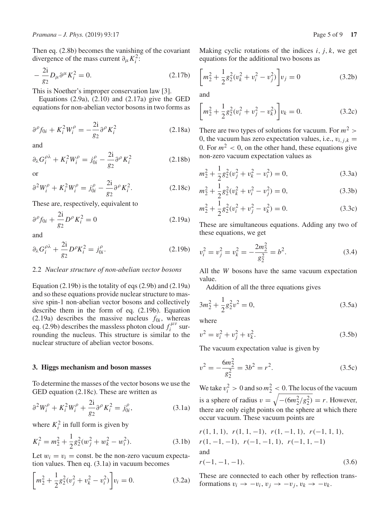Then eq. (2.8b) becomes the vanishing of the covariant divergence of the mass current  $\partial_{\mu} K_i^2$ :

$$
-\frac{2i}{g_2}D_\mu\partial^\mu K_i^2 = 0.
$$
 (2.17b)

This is Noether's improper conservation law [3].

Equations  $(2.9a)$ ,  $(2.10)$  and  $(2.17a)$  give the GED equations for non-abelian vector bosons in two forms as

$$
\partial^{\rho} f_{0i} + K_i^2 W_i^{\rho} = -\frac{2i}{g_2} \partial^{\rho} K_i^2
$$
 (2.18a)

and

$$
\partial_{\lambda} G_i^{\rho \lambda} + K_i^2 W_i^{\rho} = j_{0i}^{\rho} - \frac{2i}{g_2} \partial^{\rho} K_i^2 \qquad (2.18b)
$$

or

$$
\partial^2 W_i^{\rho} + K_i^2 W_i^{\rho} = j_{0i}^{\rho} - \frac{2i}{g_2} \partial^{\rho} K_i^2.
$$
 (2.18c)

These are, respectively, equivalent to

$$
\partial^{\rho} f_{0i} + \frac{2i}{g_2} D^{\rho} K_i^2 = 0 \tag{2.19a}
$$

and

$$
\partial_{\lambda} G_i^{\rho \lambda} + \frac{2i}{g_2} D^{\rho} K_i^2 = j_{0i}^{\rho}.
$$
 (2.19b)

#### 2.2 *Nuclear structure of non-abelian vector bosons*

Equation (2.19b) is the totality of eqs (2.9b) and (2.19a) and so these equations provide nuclear structure to massive spin-1 non-abelian vector bosons and collectively describe them in the form of eq. (2.19b). Equation (2.19a) describes the massive nucleus  $f_{0i}$ , whereas eq. (2.9b) describes the massless photon cloud  $f_i^{\mu\nu}$  surrounding the nucleus. This structure is similar to the nuclear structure of abelian vector bosons.

#### **3. Higgs mechanism and boson masses**

To determine the masses of the vector bosons we use the GED equation (2.18c). These are written as

$$
\partial^2 W_i^{\rho} + K_i^2 W_i^{\rho} + \frac{2i}{g_2} \partial^{\rho} K_i^2 = j_0^{\rho}, \qquad (3.1a)
$$

where  $K_i^2$  in full form is given by

$$
K_i^2 = m_2^2 + \frac{1}{2}g_2^2(w_j^2 + w_k^2 - w_i^2).
$$
 (3.1b)

Let  $w_i = v_i$  = const. be the non-zero vacuum expectation values. Then eq. (3.1a) in vacuum becomes

$$
\left[m_2^2 + \frac{1}{2}g_2^2(v_j^2 + v_k^2 - v_i^2)\right]v_i = 0.
$$
\n(3.2a)

$$
\left[m_2^2 + \frac{1}{2}g_2^2(v_k^2 + v_i^2 - v_j^2)\right]v_j = 0\tag{3.2b}
$$

and

$$
\left[m_2^2 + \frac{1}{2}g_2^2(v_i^2 + v_j^2 - v_k^2)\right]v_k = 0.
$$
\n(3.2c)

There are two types of solutions for vacuum. For  $m^2$  > 0, the vacuum has zero expectation values, i.e.,  $v_{i,j,k}$  = 0. For  $m^2 < 0$ , on the other hand, these equations give non-zero vacuum expectation values as

$$
m_2^2 + \frac{1}{2}g_2^2(v_j^2 + v_k^2 - v_i^2) = 0,
$$
\n(3.3a)

$$
m_2^2 + \frac{1}{2}g_2^2(v_k^2 + v_i^2 - v_j^2) = 0,
$$
\n(3.3b)

$$
m_2^2 + \frac{1}{2}g_2^2(v_i^2 + v_j^2 - v_k^2) = 0.
$$
 (3.3c)

These are simultaneous equations. Adding any two of these equations, we get

$$
v_i^2 = v_j^2 = v_k^2 = -\frac{2m_2^2}{g_2^2} = b^2.
$$
 (3.4)

All the *W* bosons have the same vacuum expectation value.

Addition of all the three equations gives

$$
3m_2^2 + \frac{1}{2}g_2^2v^2 = 0,
$$
\n(3.5a)

where

$$
v^2 = v_i^2 + v_j^2 + v_k^2.
$$
 (3.5b)

The vacuum expectation value is given by

$$
v^2 = -\frac{6m_2^2}{g_2^2} = 3b^2 = r^2.
$$
 (3.5c)

We take  $v_i^2 > 0$  and so  $m_2^2 < 0$ . The locus of the vacuum is a sphere of radius  $v = \sqrt{- (6m_2^2/g_2^2)} = r$ . However, there are only eight points on the sphere at which there occur vacuum. These vacuum points are

$$
r(1, 1, 1), r(1, 1, -1), r(1, -1, 1), r(-1, 1, 1),
$$
  
\n
$$
r(1, -1, -1), r(-1, -1, 1), r(-1, 1, -1)
$$
  
\nand  
\n
$$
r(-1, -1, -1).
$$
  
\n(3.6)

These are connected to each other by reflection transformations  $v_i \rightarrow -v_i, v_j \rightarrow -v_j, v_k \rightarrow -v_k$ .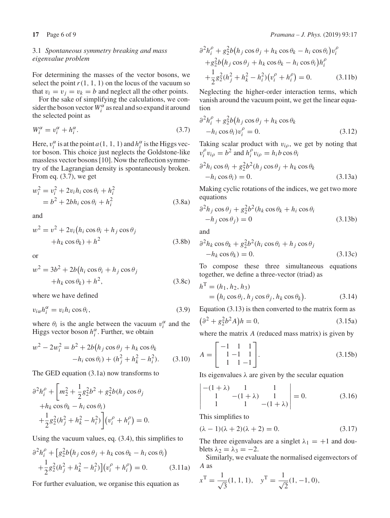# 3.1 *Spontaneous symmetry breaking and mass eigenvalue problem*

For determining the masses of the vector bosons, we select the point  $r(1, 1, 1)$  on the locus of the vacuum so that  $v_i = v_j = v_k = b$  and neglect all the other points.

For the sake of simplifying the calculations, we consider the boson vector  $W_i^{\alpha}$  as real and so expand it around the selected point as

$$
W_i^{\alpha} = v_i^{\alpha} + h_i^{\alpha}.
$$
\n(3.7)

Here,  $v_i^{\alpha}$  is at the point *a*(1, 1, 1) and  $h_i^{\alpha}$  is the Higgs vector boson. This choice just neglects the Goldstone-like massless vector bosons [10]. Now the reflection symmetry of the Lagrangian density is spontaneously broken. From eq. (3.7), we get

$$
w_i^2 = v_i^2 + 2v_i h_i \cos \theta_i + h_i^2
$$
  
=  $b^2 + 2bh_i \cos \theta_i + h_i^2$  (3.8a)

and

$$
w^{2} = v^{2} + 2v_{i} (h_{i} \cos \theta_{i} + h_{j} \cos \theta_{j}
$$

$$
+ h_{k} \cos \theta_{k}) + h^{2}
$$
(3.8b)

or

$$
w2 = 3b2 + 2b(hi cos \thetai + hj cos \thetaj+hk cos \thetak) + h2,
$$
 (3.8c)

where we have defined

$$
v_{i\alpha}h_i^{\alpha} = v_i h_i \cos \theta_i, \qquad (3.9)
$$

where  $\theta_i$  is the angle between the vacuum  $v_i^{\alpha}$  and the Higgs vector boson  $h_i^{\alpha}$ . Further, we obtain

$$
w^{2} - 2w_{i}^{2} = b^{2} + 2b(h_{j}\cos\theta_{j} + h_{k}\cos\theta_{k} -h_{i}\cos\theta_{i}) + (h_{j}^{2} + h_{k}^{2} - h_{i}^{2}).
$$
 (3.10)

The GED equation (3.1a) now transforms to

$$
\partial^2 h_i^{\rho} + \left[ m_2^2 + \frac{1}{2} g_2^2 b^2 + g_2^2 b (h_j \cos \theta_j) + h_k \cos \theta_k - h_i \cos \theta_i \right] \n+ \frac{1}{2} g_2^2 (h_j^2 + h_k^2 - h_i^2) \left[ (v_i^{\rho} + h_i^{\rho}) \right] = 0.
$$

Using the vacuum values, eq. (3.4), this simplifies to

$$
\partial^2 h_i^{\rho} + \left[ g_2^2 b \left( h_j \cos \theta_j + h_k \cos \theta_k - h_i \cos \theta_i \right) \right. \\ \left. + \frac{1}{2} g_2^2 (h_j^2 + h_k^2 - h_i^2) \right] \left( v_i^{\rho} + h_i^{\rho} \right) = 0. \tag{3.11a}
$$

For further evaluation, we organise this equation as

$$
\partial^2 h_i^{\rho} + g_2^2 b(h_j \cos \theta_j + h_k \cos \theta_k - h_i \cos \theta_i) v_i^{\rho} + g_2^2 b(h_j \cos \theta_j + h_k \cos \theta_k - h_i \cos \theta_i) h_i^{\rho} + \frac{1}{2} g_2^2 (h_j^2 + h_k^2 - h_i^2) (v_i^{\rho} + h_i^{\rho}) = 0.
$$
 (3.11b)

Neglecting the higher-order interaction terms, which vanish around the vacuum point, we get the linear equation

$$
\frac{\partial^2 h_i^{\rho} + g_2^2 b(h_j \cos \theta_j + h_k \cos \theta_k)}{-h_i \cos \theta_i) v_i^{\rho} = 0.}
$$
\n(3.12)

Taking scalar product with v*i*ρ, we get by noting that  $v_i^{\rho} v_{i\rho} = b^2$  and  $h_i^{\rho} v_{i\rho} = h_i b \cos \theta_i$ 

$$
\frac{\partial^2 h_i \cos \theta_i + g_2^2 b^2 (h_j \cos \theta_j + h_k \cos \theta_k)}{-h_i \cos \theta_i} = 0.
$$
\n(3.13a)

Making cyclic rotations of the indices, we get two more equations

$$
\frac{\partial^2 h_j \cos \theta_j + g_2^2 b^2 (h_k \cos \theta_k + h_i \cos \theta_i)}{-h_j \cos \theta_j} = 0
$$
\n(3.13b)

and

$$
\frac{\partial^2 h_k \cos \theta_k + g_2^2 b^2 (h_i \cos \theta_i + h_j \cos \theta_j)}{-h_k \cos \theta_k} = 0.
$$
\n(3.13c)

To compose these three simultaneous equations together, we define a three-vector (triad) as

$$
hT = (h1, h2, h3)
$$
  
= (h<sub>i</sub> cos  $\theta$ <sub>i</sub>, h<sub>j</sub> cos  $\theta$ <sub>j</sub>, h<sub>k</sub> cos  $\theta$ <sub>k</sub>). (3.14)

Equation (3.13) is then converted to the matrix form as

$$
(\partial^2 + g_2^2 b^2 A)h = 0,
$$
\n(3.15a)

where the matrix *A* (reduced mass matrix) is given by

$$
A = \begin{bmatrix} -1 & 1 & 1 \\ 1 & -1 & 1 \\ 1 & 1 & -1 \end{bmatrix}.
$$
 (3.15b)

Its eigenvalues  $\lambda$  are given by the secular equation

$$
\begin{vmatrix}-(1+\lambda) & 1 & 1\\1 & -(1+\lambda) & 1\\1 & 1 & -(1+\lambda)\end{vmatrix} = 0.
$$
 (3.16)

This simplifies to

 $\bigg\}$  $\overline{\phantom{a}}$  $\overline{\phantom{a}}$  $\overline{\phantom{a}}$  $\frac{1}{2}$  $\mid$ 

$$
(\lambda - 1)(\lambda + 2)(\lambda + 2) = 0.
$$
\n(3.17)

The three eigenvalues are a singlet  $\lambda_1 = +1$  and doublets  $\lambda_2 = \lambda_3 = -2$ .

Similarly, we evaluate the normalised eigenvectors of *A* as

$$
x^{\text{T}} = \frac{1}{\sqrt{3}}(1, 1, 1), \quad y^{\text{T}} = \frac{1}{\sqrt{2}}(1, -1, 0),
$$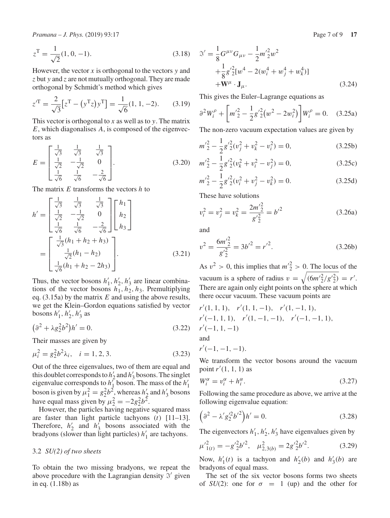*Pramana – J. Phys.* (2019) 93:17 **Page 7 of 9 <b>17** Page 7 of 9 **17** 

$$
z^{\mathrm{T}} = \frac{1}{\sqrt{2}}(1, 0, -1). \tag{3.18}
$$

However, the vector *x* is orthogonal to the vectors *y* and *z* but *y* and *z* are not mutually orthogonal. They are made orthogonal by Schmidt's method which gives

$$
z^{\prime T} = \frac{2}{\sqrt{3}} [z^{\rm T} - (y^{\rm T} z) y^{\rm T}] = \frac{1}{\sqrt{6}} (1, 1, -2). \tag{3.19}
$$

This vector is orthogonal to *x* as well as to *y*. The matrix *E*, which diagonalises *A*, is composed of the eigenvectors as

$$
E = \begin{bmatrix} \frac{1}{\sqrt{3}} & \frac{1}{\sqrt{3}} & \frac{1}{\sqrt{3}} \\ \frac{1}{\sqrt{2}} & -\frac{1}{\sqrt{2}} & 0 \\ \frac{1}{\sqrt{6}} & \frac{1}{\sqrt{6}} & -\frac{2}{\sqrt{6}} \end{bmatrix} . \tag{3.20}
$$

The matrix *E* transforms the vectors *h* to

$$
h' = \begin{bmatrix} \frac{1}{\sqrt{3}} & \frac{1}{\sqrt{3}} & \frac{1}{\sqrt{3}} \\ \frac{1}{\sqrt{2}} & -\frac{1}{\sqrt{2}} & 0 \\ \frac{1}{\sqrt{6}} & \frac{1}{\sqrt{6}} & -\frac{2}{\sqrt{6}} \end{bmatrix} \begin{bmatrix} h_1 \\ h_2 \\ h_3 \end{bmatrix}
$$

$$
= \begin{bmatrix} \frac{1}{\sqrt{3}}(h_1 + h_2 + h_3) \\ \frac{1}{\sqrt{2}}(h_1 - h_2) \\ \frac{1}{\sqrt{6}}(h_1 + h_2 - 2h_3) \end{bmatrix} .
$$
(3.21)

Thus, the vector bosons  $h'_1, h'_2, h'_3$  are linear combinations of the vector bosons  $h_1, h_2, h_3$ . Premultiplying eq. (3.15a) by the matrix *E* and using the above results, we get the Klein–Gordon equations satisfied by vector bosons  $h'_1$ ,  $h'_2$ ,  $h'_3$  as

$$
\left(\partial^2 + \lambda g_2^2 b^2\right) h' = 0. \tag{3.22}
$$

Their masses are given by

$$
\mu_i^2 = g_2^2 b^2 \lambda_i, \quad i = 1, 2, 3. \tag{3.23}
$$

Out of the three eigenvalues, two of them are equal and this doublet corresponds to  $h'_2$  and  $h'_3$  bosons. The singlet eigenvalue corresponds to *h*<sup>1</sup><sub>1</sub> boson. The mass of the *h*<sup>1</sup><sub>1</sub> boson is given by  $\mu_1^2 = g_2^2 b^2$ , whereas *h*<sup>1</sup><sub>2</sub> and *h*<sup>1</sup><sub>3</sub> bosons have equal mass given by  $\mu_2^2 = -2g_2^2b^2$ .

However, the particles having negative squared mass are faster than light particle tachyons (*t*) [11–13]. Therefore,  $h'_2$  and  $h'_3$  bosons associated with the bradyons (slower than light particles)  $h'_1$  are tachyons.

#### 3.2 *SU(2) of two sheets*

To obtain the two missing bradyons, we repeat the above procedure with the Lagrangian density  $\mathfrak{I}'$  given in eq. (1.18b) as

$$
\mathcal{S}' = \frac{1}{8} G^{\mu\nu} G_{\mu\nu} - \frac{1}{2} m'^2 2 w^2 \n+ \frac{1}{8} g'^2 [w^4 - 2(w_i^4 + w_j^4 + w_k^4)] \n+ \mathbf{W}^\mu \cdot \mathbf{J}_\mu.
$$
\n(3.24)

This gives the Euler–Lagrange equations as

$$
\partial^2 W_i^{\rho} + \left[ m_2^{\prime 2} - \frac{1}{2} g_2^{\prime 2} (w^2 - 2w_i^2) \right] W_i^{\rho} = 0. \quad (3.25a)
$$

The non-zero vacuum expectation values are given by

$$
m'_{2}^{2} - \frac{1}{2}g'_{2}^{2}(v_{j}^{2} + v_{k}^{2} - v_{i}^{2}) = 0,
$$
 (3.25b)

$$
m_{2}^{\prime 2} - \frac{1}{2}g_{2}^{\prime 2}(v_{k}^{2} + v_{i}^{2} - v_{j}^{2}) = 0, \qquad (3.25c)
$$

$$
m'_{2}^{2} - \frac{1}{2}g'_{2}^{2}(v_{i}^{2} + v_{j}^{2} - v_{k}^{2}) = 0.
$$
 (3.25d)

These have solutions

$$
v_i^2 = v_j^2 = v_k^2 = \frac{2m'^2}{g'^2} = b'^2
$$
 (3.26a)

and

$$
v^2 = \frac{6m'^2/2}{g'^2} = 3b'^2 = r'^2.
$$
 (3.26b)

As  $v^2 > 0$ , this implies that  $m_2^2 > 0$ . The locus of the vacuum is a sphere of radius  $v = \sqrt{(6m'^2/g'^2/2)} = r'.$ There are again only eight points on the sphere at which there occur vacuum. These vacuum points are

$$
r'(1, 1, 1), r'(1, 1, -1), r'(1, -1, 1),
$$
  
\n
$$
r'(-1, 1, 1), r'(1, -1, -1), r'(-1, -1, 1),
$$
  
\n
$$
r'(-1, 1, -1)
$$
  
\nand

 $r'(-1, -1, -1).$ 

We transform the vector bosons around the vacuum point *r'*(1, 1, 1) as

$$
W_i^{\alpha} = v_i^{\alpha} + h_i^{\alpha}.
$$
\n(3.27)

Following the same procedure as above, we arrive at the following eigenvalue equation:

$$
\left(\partial^2 - \lambda' g_2'^2 b'^2\right) h' = 0.
$$
\n(3.28)

The eigenvectors  $h'_1, h'_2, h'_3$  have eigenvalues given by

$$
\mu'^{2}_{1(t)} = -g'^{2}_{2}b'^{2}, \quad \mu^{2}_{2,3(b)} = 2g'^{2}_{2}b'^{2}.
$$
 (3.29)

Now,  $h'_1(t)$  is a tachyon and  $h'_2(b)$  and  $h'_3(b)$  are bradyons of equal mass.

The set of the six vector bosons forms two sheets of  $SU(2)$ : one for  $\sigma = 1$  (up) and the other for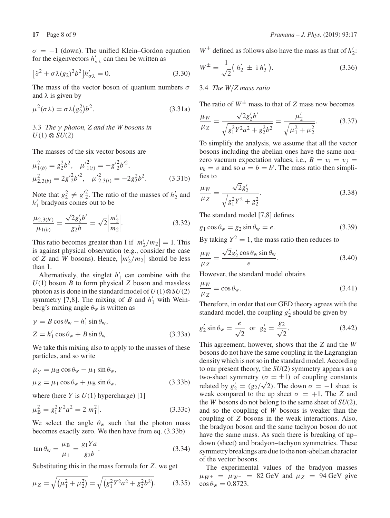$\sigma = -1$  (down). The unified Klein–Gordon equation for the eigenvectors  $h'_{\sigma\lambda}$  can then be written as

$$
\left[\partial^2 + \sigma \lambda (g_2)^2 b^2\right] h'_{\sigma \lambda} = 0. \tag{3.30}
$$

The mass of the vector boson of quantum numbers  $\sigma$ and  $\lambda$  is given by

$$
\mu^2(\sigma \lambda) = \sigma \lambda (g_2^2) b^2. \tag{3.31a}
$$

3.3 *The* γ *photon, Z and the W bosons in*  $U(1) \otimes SU(2)$ 

The masses of the six vector bosons are

$$
\mu_{1(b)}^2 = g_2^2 b^2, \quad {\mu'}_{1(t)}^2 = -g'^2 b'^2, \n\mu_{2,3(b)}^2 = 2g'^2 b'^2, \quad {\mu'}_{2,3(t)}^2 = -2g_2^2 b^2.
$$
\n(3.31b)

Note that  $g_2^2 \neq g_2'^2$ . The ratio of the masses of  $h_2'$  and  $h_1'$  bradyons comes out to be

$$
\frac{\mu_{2,3(b')}}{\mu_{1(b)}} = \frac{\sqrt{2}g_2'b'}{g_2b} = \sqrt{2}\left|\frac{m_2'}{m_2}\right|.
$$
\n(3.32)

This ratio becomes greater than 1 if  $\left| \frac{m_2}{m_2} \right| = 1$ . This is against physical observation (e.g., consider the case of *Z* and *W* bosons). Hence,  $|m'_2/m_2|$  should be less than 1.

Alternatively, the singlet  $h'_1$  can combine with the *U*(1) boson *B* to form physical *Z* boson and massless photon as is done in the standard model of  $U(1) \otimes SU(2)$ symmetry [7,8]. The mixing of *B* and  $h'_1$  with Weinberg's mixing angle  $\theta_w$  is written as

$$
\gamma = B \cos \theta_{\rm w} - h_1' \sin \theta_{\rm w},
$$
  
\n
$$
Z = h_1' \cos \theta_{\rm w} + B \sin \theta_{\rm w}.
$$
\n(3.33a)

We take this mixing also to apply to the masses of these particles, and so write

$$
\mu_{\gamma} = \mu_{\text{B}} \cos \theta_{\text{w}} - \mu_{1} \sin \theta_{\text{w}}, \n\mu_{Z} = \mu_{1} \cos \theta_{\text{w}} + \mu_{\text{B}} \sin \theta_{\text{w}},
$$
\n(3.33b)

where (here  $Y$  is  $U(1)$  hypercharge) [1]

$$
\mu_{\rm B}^2 = g_1^2 Y^2 a^2 = 2|m_1^2|.
$$
\n(3.33c)

We select the angle  $\theta_w$  such that the photon mass becomes exactly zero. We then have from eq. (3.33b)

$$
\tan \theta_{\rm w} = \frac{\mu_{\rm B}}{\mu_1} = \frac{g_1 Y a}{g_2 b}.
$$
\n(3.34)

Substituting this in the mass formula for *Z*, we get

$$
\mu_Z = \sqrt{(\mu_1^2 + \mu_2^2)} = \sqrt{(g_1^2 Y^2 a^2 + g_2^2 b^2)}.
$$
 (3.35)

 $W^{\pm}$  defined as follows also have the mass as that of  $h'_2$ :

$$
W^{\pm} = \frac{1}{\sqrt{2}} (h'_2 \pm i h'_3). \tag{3.36}
$$

3.4 *The W*/*Z mass ratio*

The ratio of  $W^{\pm}$  mass to that of *Z* mass now becomes

$$
\frac{\mu_W}{\mu_Z} = \frac{\sqrt{2}g_2'b'}{\sqrt{g_1^2 Y^2 a^2 + g_2^2 b^2}} = \frac{\mu_2'}{\sqrt{\mu_1^2 + \mu_2^2}}.
$$
(3.37)

To simplify the analysis, we assume that all the vector bosons including the abelian ones have the same nonzero vacuum expectation values, i.e.,  $B = v_i = v_i$  $v_k = v$  and so  $a = b = b'$ . The mass ratio then simplifies to

$$
\frac{\mu w}{\mu z} = \frac{\sqrt{2}g_2'}{\sqrt{g_1^2 Y^2 + g_2^2}}.
$$
\n(3.38)

The standard model [7,8] defines

$$
g_1 \cos \theta_{\rm w} = g_2 \sin \theta_{\rm w} = e. \tag{3.39}
$$

By taking  $Y^2 = 1$ , the mass ratio then reduces to

$$
\frac{\mu_W}{\mu_Z} = \frac{\sqrt{2}g_2' \cos \theta_w \sin \theta_w}{e}.
$$
\n(3.40)

However, the standard model obtains

$$
\frac{\mu_W}{\mu_Z} = \cos \theta_w. \tag{3.41}
$$

Therefore, in order that our GED theory agrees with the standard model, the coupling  $g'_2$  should be given by

$$
g'_2 \sin \theta_w = \frac{e}{\sqrt{2}}
$$
 or  $g'_2 = \frac{g_2}{\sqrt{2}}$ . (3.42)

This agreement, however, shows that the *Z* and the *W* bosons do not have the same coupling in the Lagrangian density which is not so in the standard model. According to our present theory, the *SU*(2) symmetry appears as a two-sheet symmetry ( $\sigma = \pm 1$ ) of coupling constants related by  $g'_2 = (g_2/\sqrt{2})$ . The down  $\sigma = -1$  sheet is weak compared to the up sheet  $\sigma = +1$ . The *Z* and the *W* bosons do not belong to the same sheet of *SU*(2), and so the coupling of *W* bosons is weaker than the coupling of *Z* bosons in the weak interactions. Also, the bradyon boson and the same tachyon boson do not have the same mass. As such there is breaking of up– down (sheet) and bradyon–tachyon symmetries. These symmetry breakings are due to the non-abelian character of the vector bosons.

The experimental values of the bradyon masses  $\mu_{W^+}$  =  $\mu_{W^-}$  = 82 GeV and  $\mu_Z$  = 94 GeV give  $\cos \theta_{\rm w} = 0.8723$ .